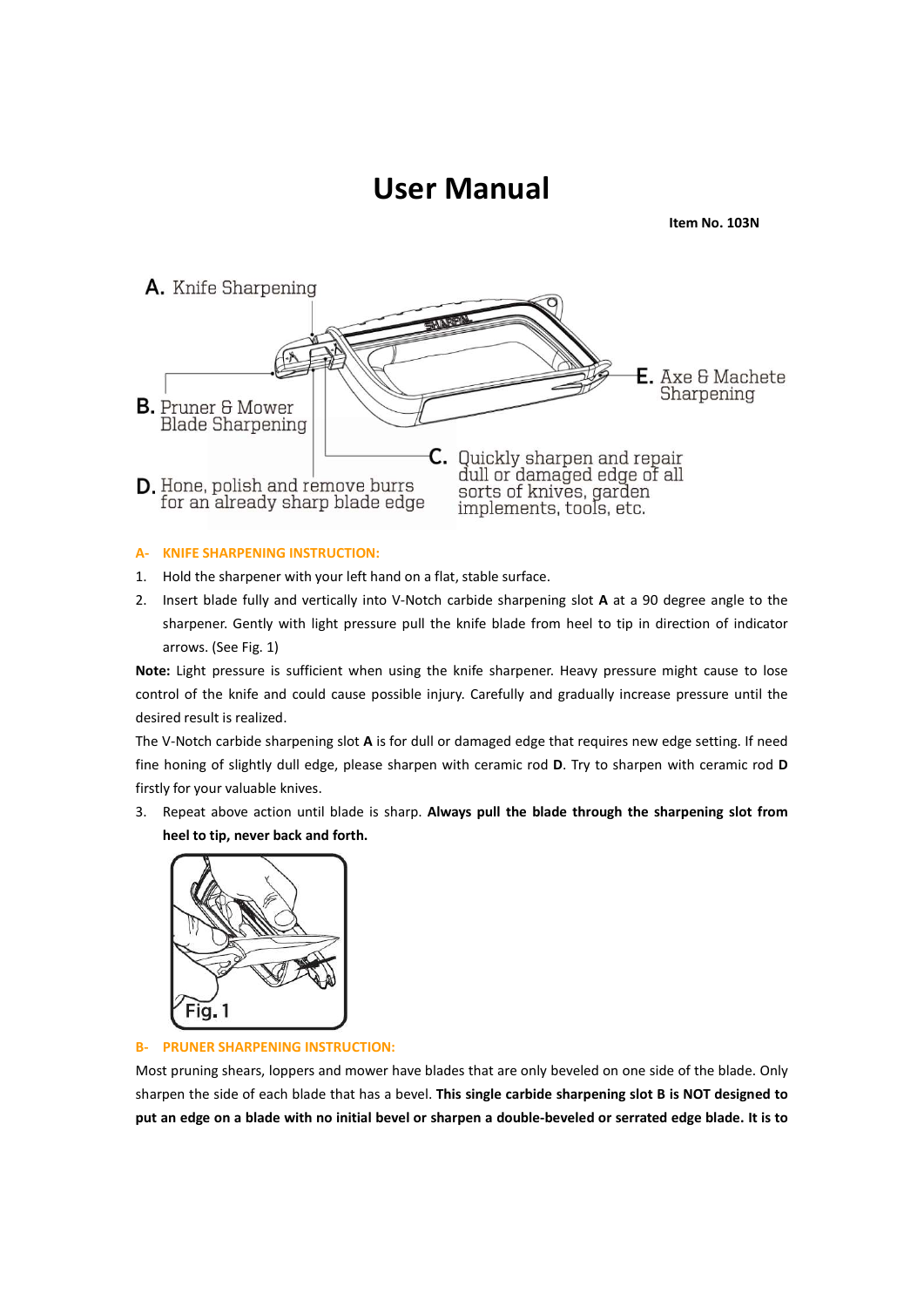

- 
- 



Note: Light pressure is sufficient when using the knife sharpener. Heavy pressure might cause to lose<br>control of the knife and could cause possible injury. Carefully and gradually increase pressure until the<br>desired result control of the knife and could cause possible injury. Carefully and gradually increase pressure until the desired results realized.<br>
The V-Notch carbide shapening slot A is for dull or damaged edge that requires new edge s desired result is realized.<br>The V-Notch carbide siarpening slot A is for dull or damaged edge that requires new edge setting. If need<br>fine honing of slightly dull edge, please sharpen with ceramic rod D. Try to sharpen wit The V-Notch carbide sharpening slot A is for dull or damaged edge that requires new edge setting. If need finathy for your valuable knives.<br>
If inty for your valuable knives.<br>
3. Repeat above action until blade is sharp. A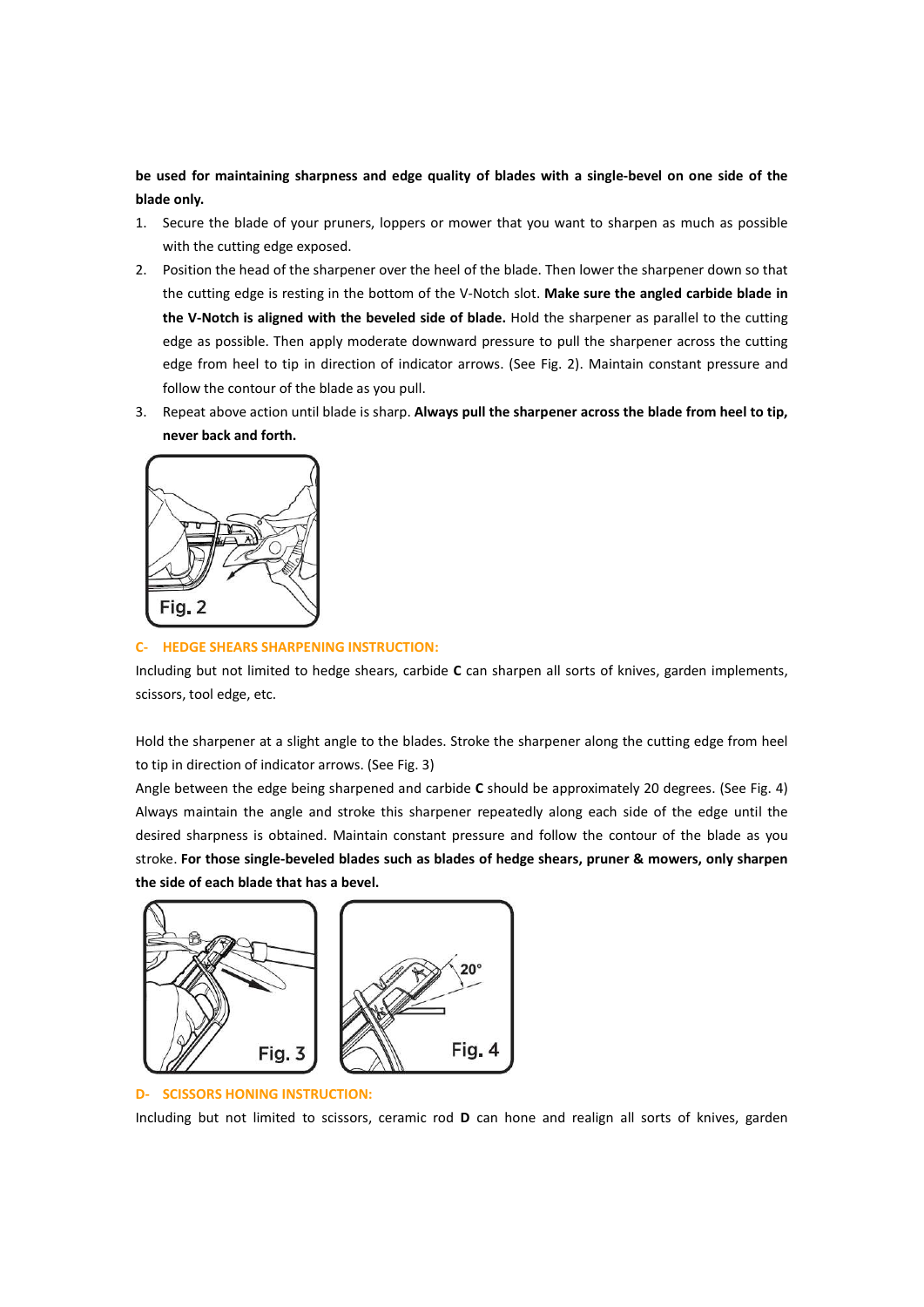be used for maintaining sharpness and edge quality of blades with a single-bevel on one side of the<br>blade only.<br>1. Secure the blade of your pruners, loppers or mower that you want to sharpen as much as possible<br>with the cu

- 
- be used for maintaining sharpness and edge quality of blades with a single-bevel or<br>blade only.<br>1. Secure the blade of your pruners, loppers or mower that you want to sharpen as<br>with the cutting edge exposed.<br>2. Position t 1. Secure the blade of your pruners, loppers or mower that you want to sharpen as much as possible<br>
1. Secure the blade of your pruners, loppers or mower that you want to sharpen as much as possible<br>
2. Position the head o Secure the blade of your pruners, loppers or mower that you want to sharpen as much as possible<br>Secure the blade of your pruners, loppers or mower that you want to sharpen as much as possible<br>with the cutting edge exposed. be used for maintaining sharpness and edge quality of blades with a single-bevel on one side of the<br>blade only.<br>1. Secure the blade of your pruners, loppers or mower that you want to sharpen as much as possible<br>with the cu the cutting edge is restingued in the bottom of the batter of the cutting edge is entity. Secure the blade of your pruners, loppers or mower that you want to sharpen as much as possible with the cutting edge exposed.<br>Posit the Computer of the blade is sharp. Always pull the sharpener across the blade from held to the ending edge of your pruners, loppers or mower that you want to sharpen as much as possible with the cutting edge sposed.<br>The v ed for maintaining sharpness and edge quality of blades with a single-bevel on one side of the<br>eonly.<br>Secure the blade of your pruners, loppers or mower that you want to sharpen as much as possible<br>brottion the head of the edge for maintaining sharpness and edge quality of blades with a single-bevel on one side of the<br>endy.<br>Secure the blade of your pruners, loppers or mower that you want to sharpen as much as possible<br>with the cutting edge e follow the contour of the blade is sharp. Always pull the sharpener across the blade from held the the contour<br>Secure the blade of your pruners, loppers or mower that you want to sharpen as much as possible<br>existion the he be used for maintaining sharpness and edge quality of blades with a single-bevel on one side of the<br>
3. Ecure the blade of your pruners, loppers or mower that you want to sharpen as much as possible<br>
with the cutting edge never the blade of your primarism and edge quality of blades with a single-bevel on one side of eachy.<br>
Secure the blade of your pruners, loppers or mower that you want to sharpen as much as possievent the cutting edge exp 2. Position the head of the sharpener over the heal of the blade. Then lower the sharpener down so that<br>the cutting edge is resting in the bottom of the V-Notch slot. Make sure the angled carbide blade in<br>the V-Notch is al The cutting edge is resting in the bottom of the V-Notch slot. Make sure the angled carbide blade in<br>
the W-Notch is sligned with the beveled side of blade. Hold the sharpener are sparillel to the cutting<br>
edge spossible. the V-Notch is aligned with the beveled side of blade. Hold the sharpener as parallel to the cure dege as possible. Then apply moderate downward pressure to pull the sharpener across the cure dege from heel to trip in dire
- 



edge from heel to tip in direction of indicator arrows. (See Fig. 2). Maintain constant pressure and<br>follow the contour of the blade as you pull.<br>3. Repeat above action until blade is sharp. Always pull the sharpener acros to tip in direction of the blade as you pull.<br>
Seperal above action until blade is sharp. Always pull the sharpener across the blade from heel to tip,<br>
never back and forth.<br>
Tig. 2<br>
Tig. 2<br>
Tig. 2<br>
Tig. 2<br>
Hotel streams S 3. Repeat above action until blade is sharp. Always pull the sharpener across the blade from heel to tip,<br>never back and forth.<br><br>**Angle between the edge being sharpened and carbide C** can sharpen all sorts of knives, garde THERE STRAIN THE STRAIN IN INTERVALUATION:<br>
THERE STRAINS SHARPENING INSTRUCTION:<br>
Including but not limited to hedge shears, carbide C can sharpen all sorts of knives, garden implements,<br>
scissors, tool edge, etc.<br>
Hold t THE TRIST 2<br>
TRIST 2<br>
C. HEDGE SHEARTS SHARPENING INSTRUCTION:<br>
Including but not limited to hedge shears, carbide C can sharpen all sorts of knives, garden implements,<br>
scissors, tool edge, etc.<br>
Hold the sharpener at a s **Stroke. For those single-beveled blades such as blades of hedge shears, provided by the control of the property of the stroke of the stroke is a such as such as such as such as such as such as such as such as the stroke t** Tig. 2<br>
C. HEDGE SHEARS SHARPENING INSTRUCTION:<br>
Including but not limited to hedge shears, carbide C can sharpen all sorts of knives, garden implements,<br>
scissors, tool edge, etc.<br>
Hold the sharpener at a slight angle to

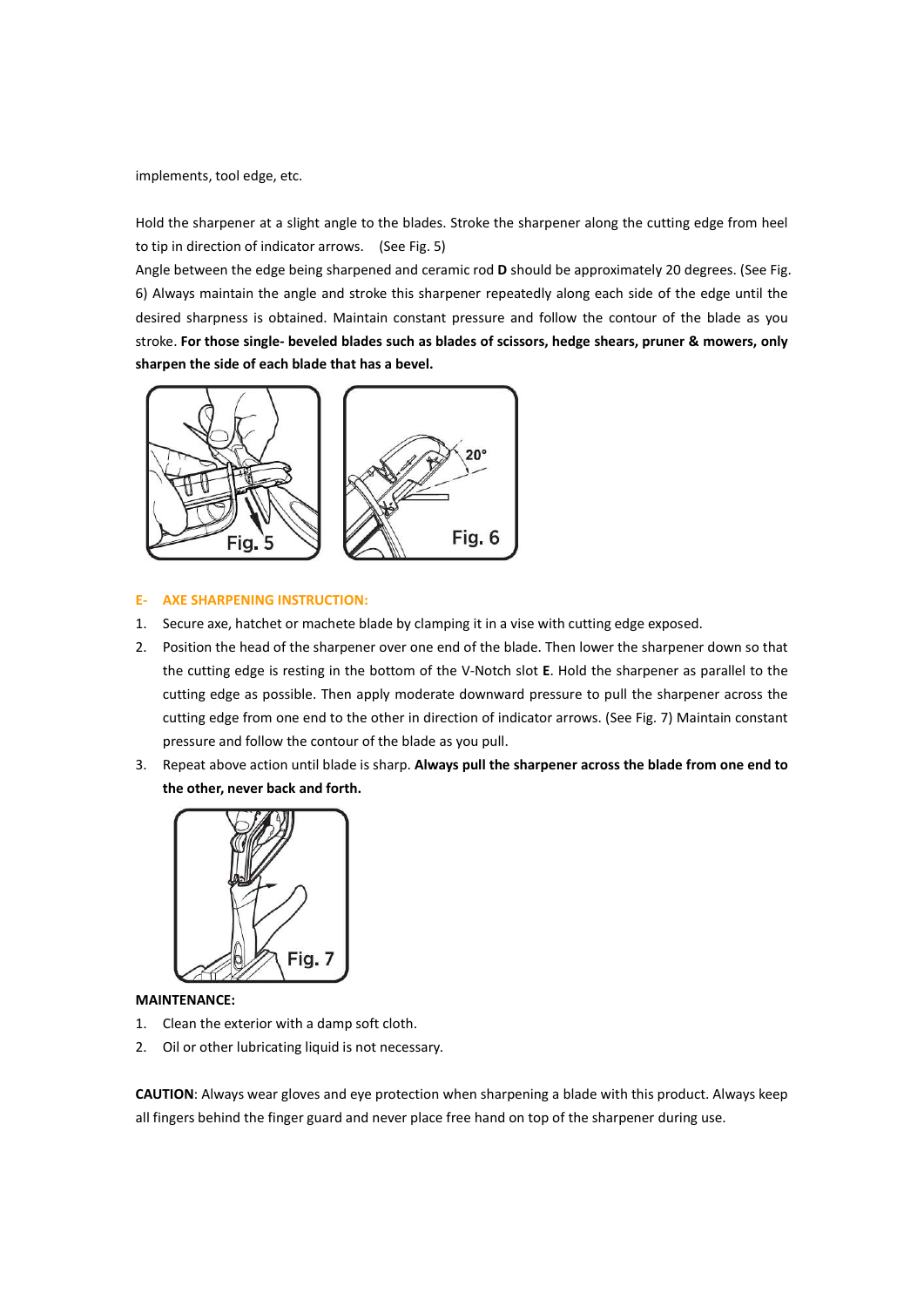implements, tool edge, etc.<br>
Hold the sharpener at a slight angle to the blades. Stroke the sharpener along the cutting edge from heel<br>
Angle between the edge being sharpened and ceramic rod **D** should be approximately 20

implements, tool edge, etc.<br>Hold the sharpener at a slight angle to the blades. Stroke the sharpener along the cutting edge from heel<br>to tip in direction of indicator arrows. (See Fig. 5)<br>Angle between the edge being sharp implements, tool edge, etc.<br>Hold the sharpener at a slight angle to the blades. Stroke the sharpener along the cutting edge from heel<br>to tip in direction of indicator arrows. (See Fig. 5)<br>Angle between the edge being sharp implements, tool edge, etc.<br>
Hold the sharpener at a slight angle to the blades. Stroke the sharpener along the cutting edge from heel<br>
to tip in direction of indicator arrows. (See Fig. 5)<br>
Angle between the edge being sh implements, tool edge, etc.<br>
Hold the sharpener at a slight angle to the blades. Stroke the sharpener along the cutting edge from heel<br>
to tip in direction of indicator arrows. (See Fig. 5)<br>
Angle between the edge being sh implements, tool edge, etc.<br>
Hold the sharpener at a slight angle to the blades. Stroke the sharpener along the cutting edge from heel<br>
to tip in direction of indicator arrows. (See Fig. 5)<br>
Angle between the edge being sh stroke. For those stroke. For the blades such as the blades such as the properties of the product of the inferencia of the blades such as the product of the product of the product of the product of the product of the produ implements, tool edge, etc.<br>
Hold the sharpener at a slight angle to the blades. Stroke the sharpener along the cutting edge from heel<br>
to tip in direction of indicator arrows. (See Fig. 5)<br>
Angle between the edge being sh



- 
- THE STARE SHARPENING INSTRUCTION:<br>
Tig. 5<br>
AXE SHARPENING INSTRUCTION:<br>
Prostice are, hatcher or mached by clamping it in a vise with cutting edge exposed.<br>
Position the head of the sharpener over one end of the blade. The 2. Position the head of the sharpener over one end of the blade. Then lower the sharpener down so that<br>the cutting edge is resting in the bottom of the V-Notch slot E. Hold the sharpener as parallel to the<br>cutting edge as the cutting edge is resting in the bottom of the V-Notch slot E. Hold the sharpener as parallel to the<br>
cutting edge as possible. Then apply moderate downward pressure to pull the sharpener across the<br>
cutting edge from on
- 



# MAINTENANCE:

- 
-